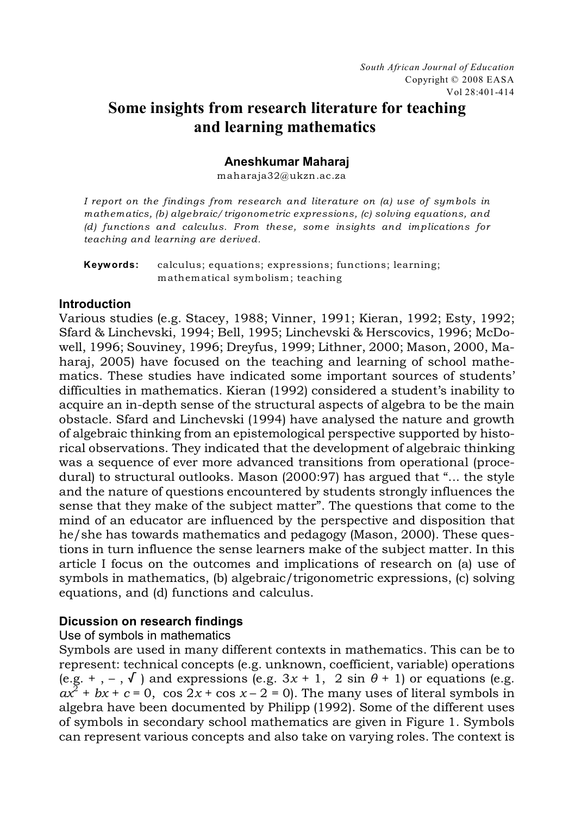# **Some insights from research literature for teaching and learning mathematics**

#### **Aneshkumar Maharaj**

maharaja32@ukzn.ac.za

*I report on the findings from research and literature on (a) use of symbols in mathematics, (b) algebraic/trigonometric expressions, (c) solving equations, and (d) functions and calculus. From these, some insights and implications for teaching and learning are derived.* 

**Keywords:** calculus; equations; expressions; functions; learning; mathematical symbolism; teaching

#### **Introduction**

Various studies (e.g. Stacey, 1988; Vinner, 1991; Kieran, 1992; Esty, 1992; Sfard & Linchevski, 1994; Bell, 1995; Linchevski & Herscovics, 1996; McDowell, 1996; Souviney, 1996; Dreyfus, 1999; Lithner, 2000; Mason, 2000, Maharaj, 2005) have focused on the teaching and learning of school mathematics. These studies have indicated some important sources of students' difficulties in mathematics. Kieran (1992) considered a student's inability to acquire an in-depth sense of the structural aspects of algebra to be the main obstacle. Sfard and Linchevski (1994) have analysed the nature and growth of algebraic thinking from an epistemological perspective supported by historical observations. They indicated that the development of algebraic thinking was a sequence of ever more advanced transitions from operational (procedural) to structural outlooks. Mason (2000:97) has argued that "... the style and the nature of questions encountered by students strongly influences the sense that they make of the subject matter". The questions that come to the mind of an educator are influenced by the perspective and disposition that he/she has towards mathematics and pedagogy (Mason, 2000). These questions in turn influence the sense learners make of the subject matter. In this article I focus on the outcomes and implications of research on (a) use of symbols in mathematics, (b) algebraic/trigonometric expressions, (c) solving equations, and (d) functions and calculus.

# **Dicussion on research findings**

#### Use of symbols in mathematics

Symbols are used in many different contexts in mathematics. This can be to represent: technical concepts (e.g. unknown, coefficient, variable) operations (e.g.  $+$ ,  $-$ ,  $\sqrt{ }$ ) and expressions (e.g.  $3x + 1$ , 2 sin  $\theta + 1$ ) or equations (e.g.  $ax^{2}$  +  $bx$  +  $c$  = 0, cos 2x + cos  $x - 2 = 0$ ). The many uses of literal symbols in algebra have been documented by Philipp (1992). Some of the different uses of symbols in secondary school mathematics are given in Figure 1. Symbols can represent various concepts and also take on varying roles. The context is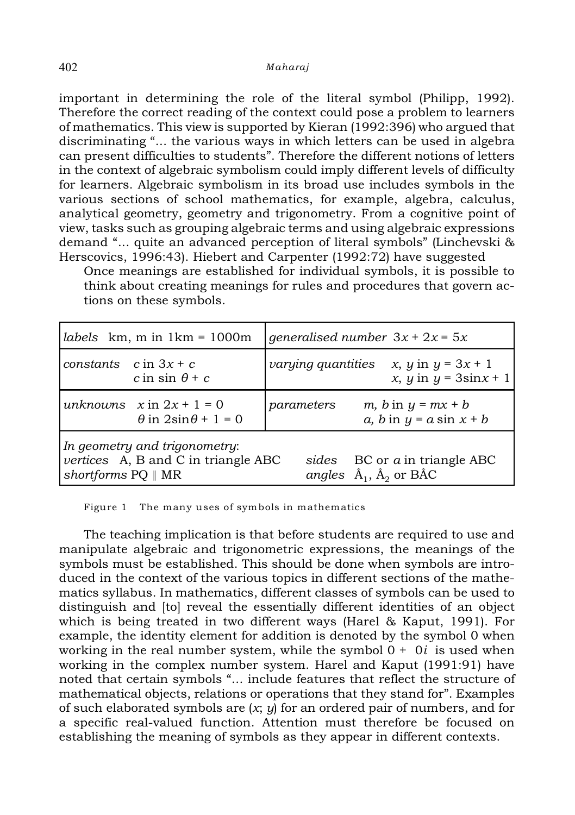important in determining the role of the literal symbol (Philipp, 1992). Therefore the correct reading of the context could pose a problem to learners of mathematics. This view is supported by Kieran (1992:396) who argued that discriminating "... the various ways in which letters can be used in algebra can present difficulties to students". Therefore the different notions of letters in the context of algebraic symbolism could imply different levels of difficulty for learners. Algebraic symbolism in its broad use includes symbols in the various sections of school mathematics, for example, algebra, calculus, analytical geometry, geometry and trigonometry. From a cognitive point of view, tasks such as grouping algebraic terms and using algebraic expressions demand "... quite an advanced perception of literal symbols" (Linchevski & Herscovics, 1996:43). Hiebert and Carpenter (1992:72) have suggested

Once meanings are established for individual symbols, it is possible to think about creating meanings for rules and procedures that govern actions on these symbols.

| labels $km, m in 1km = 1000m$                                                                                                                                                       | <i>generalised number</i> $3x + 2x = 5x$                                                      |
|-------------------------------------------------------------------------------------------------------------------------------------------------------------------------------------|-----------------------------------------------------------------------------------------------|
| constants $c$ in $3x + c$<br>c in sin $\theta$ + c                                                                                                                                  | <i>x</i> , <i>y</i> in $y = 3x + 1$<br><i>varying quantities</i><br>x, y in $y = 3\sin x + 1$ |
| unknowns $x \text{ in } 2x + 1 = 0$<br>$\theta$ in $2\sin\theta + 1 = 0$                                                                                                            | m, b in $y = mx + b$<br>parameters<br>a, b in $y = a \sin x + b$                              |
| In geometry and trigonometry:<br>vertices A, B and C in triangle ABC<br>BC or a in triangle ABC<br>sides<br>angles $\hat{A}_1$ , $\hat{A}_2$ or BÂC<br>shortforms $PQ \parallel MR$ |                                                                                               |

Figure 1 The many uses of symbols in mathematics

The teaching implication is that before students are required to use and manipulate algebraic and trigonometric expressions, the meanings of the symbols must be established. This should be done when symbols are introduced in the context of the various topics in different sections of the mathematics syllabus. In mathematics, different classes of symbols can be used to distinguish and [to] reveal the essentially different identities of an object which is being treated in two different ways (Harel & Kaput, 1991). For example, the identity element for addition is denoted by the symbol 0 when working in the real number system, while the symbol 0 + 0*i* is used when working in the complex number system. Harel and Kaput (1991:91) have noted that certain symbols "... include features that reflect the structure of mathematical objects, relations or operations that they stand for". Examples of such elaborated symbols are (*x*; *y*) for an ordered pair of numbers, and for a specific real-valued function. Attention must therefore be focused on establishing the meaning of symbols as they appear in different contexts.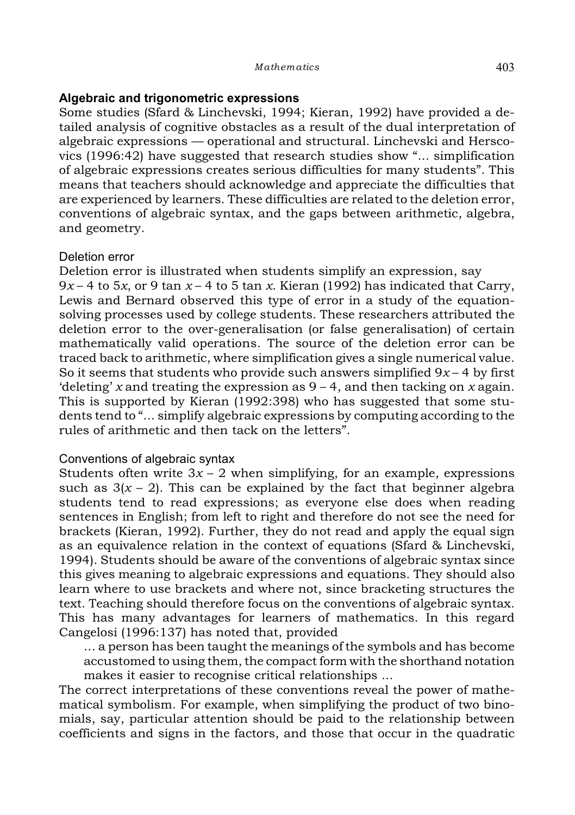#### **Algebraic and trigonometric expressions**

Some studies (Sfard & Linchevski, 1994; Kieran, 1992) have provided a detailed analysis of cognitive obstacles as a result of the dual interpretation of algebraic expressions — operational and structural. Linchevski and Herscovics (1996:42) have suggested that research studies show "... simplification of algebraic expressions creates serious difficulties for many students". This means that teachers should acknowledge and appreciate the difficulties that are experienced by learners. These difficulties are related to the deletion error, conventions of algebraic syntax, and the gaps between arithmetic, algebra, and geometry.

#### Deletion error

Deletion error is illustrated when students simplify an expression, say  $9x - 4$  to 5x, or 9 tan  $x - 4$  to 5 tan x. Kieran (1992) has indicated that Carry, Lewis and Bernard observed this type of error in a study of the equationsolving processes used by college students. These researchers attributed the deletion error to the over-generalisation (or false generalisation) of certain mathematically valid operations. The source of the deletion error can be traced back to arithmetic, where simplification gives a single numerical value. So it seems that students who provide such answers simplified  $9x - 4$  by first 'deleting' *x* and treating the expression as 9 – 4, and then tacking on *x* again. This is supported by Kieran (1992:398) who has suggested that some students tend to "... simplify algebraic expressions by computing according to the rules of arithmetic and then tack on the letters".

# Conventions of algebraic syntax

Students often write  $3x - 2$  when simplifying, for an example, expressions such as  $3(x - 2)$ . This can be explained by the fact that beginner algebra students tend to read expressions; as everyone else does when reading sentences in English; from left to right and therefore do not see the need for brackets (Kieran, 1992). Further, they do not read and apply the equal sign as an equivalence relation in the context of equations (Sfard & Linchevski, 1994). Students should be aware of the conventions of algebraic syntax since this gives meaning to algebraic expressions and equations. They should also learn where to use brackets and where not, since bracketing structures the text. Teaching should therefore focus on the conventions of algebraic syntax. This has many advantages for learners of mathematics. In this regard Cangelosi (1996:137) has noted that, provided

 $\ldots$  a person has been taught the meanings of the symbols and has become accustomed to using them, the compact form with the shorthand notation makes it easier to recognise critical relationships ...

The correct interpretations of these conventions reveal the power of mathematical symbolism. For example, when simplifying the product of two binomials, say, particular attention should be paid to the relationship between coefficients and signs in the factors, and those that occur in the quadratic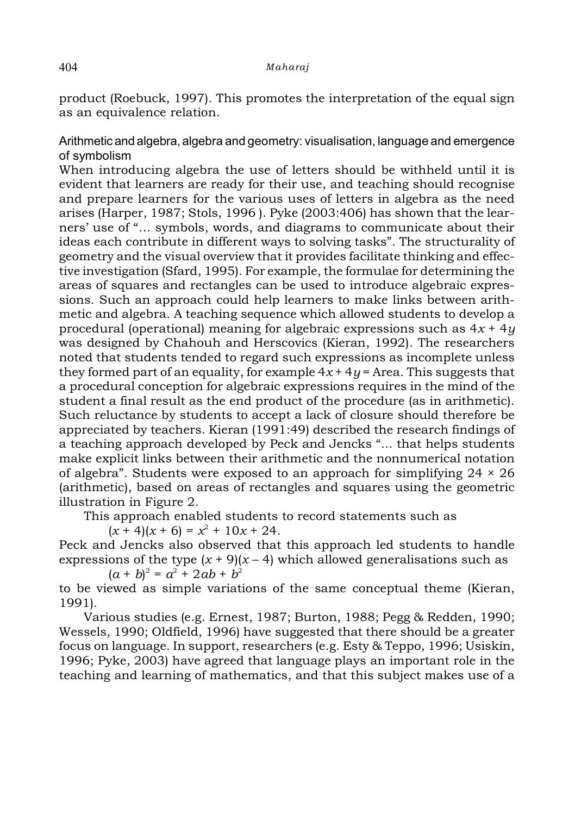product (Roebuck, 1997). This promotes the interpretation of the equal sign as an equivalence relation.

Arithmetic and algebra, algebra and geometry: visualisation, language and emergence of symbolism

When introducing algebra the use of letters should be withheld until it is evident that learners are ready for their use, and teaching should recognise and prepare learners for the various uses of letters in algebra as the need arises (Harper, 1987; Stols, 1996 ). Pyke (2003:406) has shown that the learners' use of "... symbols, words, and diagrams to communicate about their ideas each contribute in different ways to solving tasks". The structurality of geometry and the visual overview that it provides facilitate thinking and effective investigation (Sfard, 1995). For example, the formulae for determining the areas of squares and rectangles can be used to introduce algebraic expressions. Such an approach could help learners to make links between arithmetic and algebra. A teaching sequence which allowed students to develop a procedural (operational) meaning for algebraic expressions such as  $4x + 4y$ was designed by Chahouh and Herscovics (Kieran, 1992). The researchers noted that students tended to regard such expressions as incomplete unless they formed part of an equality, for example  $4x + 4y =$  Area. This suggests that a procedural conception for algebraic expressions requires in the mind of the student a final result as the end product of the procedure (as in arithmetic). Such reluctance by students to accept a lack of closure should therefore be appreciated by teachers. Kieran (1991:49) described the research findings of a teaching approach developed by Peck and Jencks "... that helps students make explicit links between their arithmetic and the nonnumerical notation of algebra". Students were exposed to an approach for simplifying  $24 \times 26$ (arithmetic), based on areas of rectangles and squares using the geometric illustration in Figure 2.

This approach enabled students to record statements such as

 $(x + 4)(x + 6) = x^2 + 10x + 24$ .

Peck and Jencks also observed that this approach led students to handle expressions of the type  $(x + 9)(x - 4)$  which allowed generalisations such as  $(a + b)^2 = a^2 + 2ab + b^2$ 

to be viewed as simple variations of the same conceptual theme (Kieran, 1991).

Various studies (e.g. Ernest, 1987; Burton, 1988; Pegg & Redden, 1990; Wessels, 1990; Oldfield, 1996) have suggested that there should be a greater focus on language. In support, researchers (e.g. Esty & Teppo, 1996; Usiskin, 1996; Pyke, 2003) have agreed that language plays an important role in the teaching and learning of mathematics, and that this subject makes use of a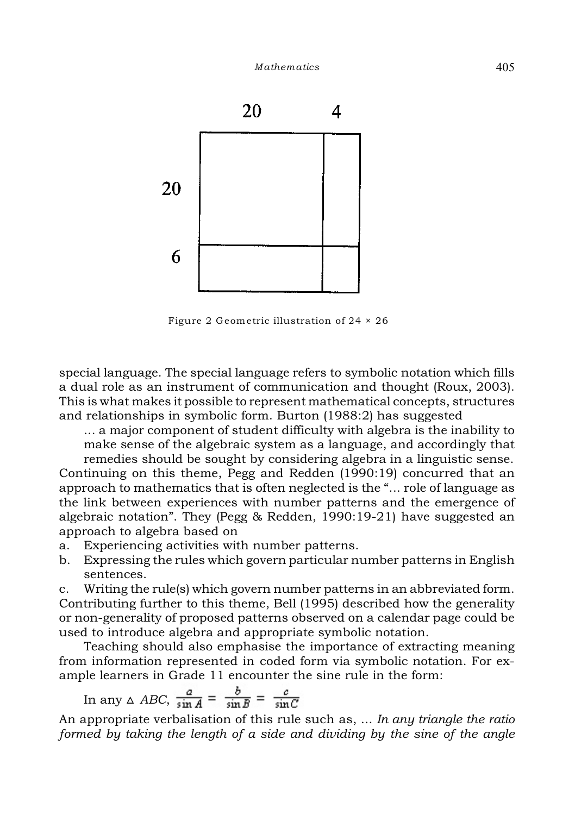

Figure 2 Geometric illustration of 24 × 26

special language. The special language refers to symbolic notation which fills a dual role as an instrument of communication and thought (Roux, 2003). This is what makes it possible to represent mathematical concepts, structures and relationships in symbolic form. Burton (1988:2) has suggested

... a major component of student difficulty with algebra is the inability to make sense of the algebraic system as a language, and accordingly that

remedies should be sought by considering algebra in a linguistic sense. Continuing on this theme, Pegg and Redden (1990:19) concurred that an approach to mathematics that is often neglected is the "... role of language as the link between experiences with number patterns and the emergence of algebraic notation". They (Pegg & Redden, 1990:19-21) have suggested an approach to algebra based on

- a. Experiencing activities with number patterns.
- b. Expressing the rules which govern particular number patterns in English sentences.

c. Writing the rule(s) which govern number patterns in an abbreviated form. Contributing further to this theme, Bell (1995) described how the generality or non-generality of proposed patterns observed on a calendar page could be used to introduce algebra and appropriate symbolic notation.

Teaching should also emphasise the importance of extracting meaning from information represented in coded form via symbolic notation. For example learners in Grade 11 encounter the sine rule in the form:

In any 
$$
\triangle ABC
$$
,  $\frac{a}{\sin A} = \frac{b}{\sin B} = \frac{c}{\sin C}$ 

An appropriate verbalisation of this rule such as, ... *In any triangle the ratio formed by taking the length of a side and dividing by the sine of the angle*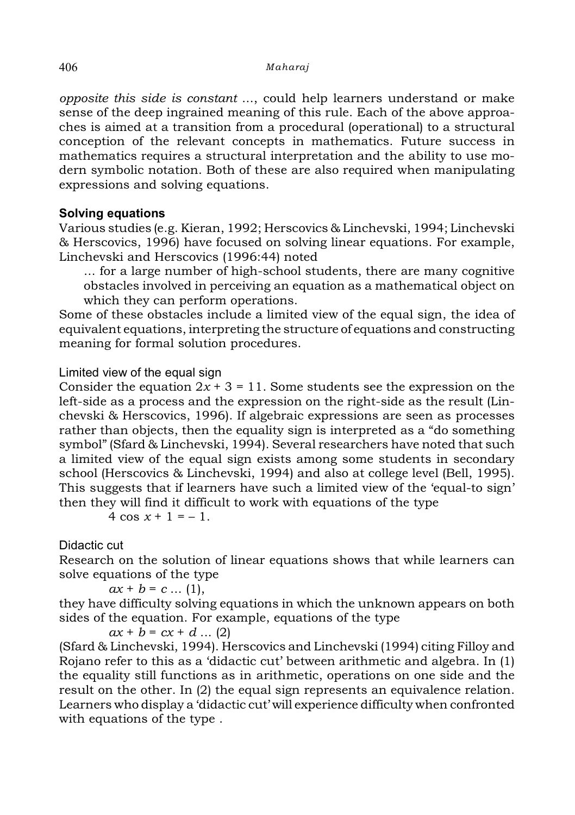*opposite this side is constant* ..., could help learners understand or make sense of the deep ingrained meaning of this rule. Each of the above approaches is aimed at a transition from a procedural (operational) to a structural conception of the relevant concepts in mathematics. Future success in mathematics requires a structural interpretation and the ability to use modern symbolic notation. Both of these are also required when manipulating expressions and solving equations.

# **Solving equations**

Various studies (e.g. Kieran, 1992; Herscovics & Linchevski, 1994; Linchevski & Herscovics, 1996) have focused on solving linear equations. For example, Linchevski and Herscovics (1996:44) noted

... for a large number of high-school students, there are many cognitive obstacles involved in perceiving an equation as a mathematical object on which they can perform operations.

Some of these obstacles include a limited view of the equal sign, the idea of equivalent equations, interpreting the structure of equations and constructing meaning for formal solution procedures.

# Limited view of the equal sign

Consider the equation  $2x + 3 = 11$ . Some students see the expression on the left-side as a process and the expression on the right-side as the result (Linchevski & Herscovics, 1996). If algebraic expressions are seen as processes rather than objects, then the equality sign is interpreted as a "do something symbol" (Sfard & Linchevski, 1994). Several researchers have noted that such a limited view of the equal sign exists among some students in secondary school (Herscovics & Linchevski, 1994) and also at college level (Bell, 1995). This suggests that if learners have such a limited view of the 'equal-to sign' then they will find it difficult to work with equations of the type

 $4 \cos x + 1 = -1$ 

# Didactic cut

Research on the solution of linear equations shows that while learners can solve equations of the type

 $ax + b = c \dots (1)$ ,

they have difficulty solving equations in which the unknown appears on both sides of the equation. For example, equations of the type

 $ax + b = cx + d$  ... (2)

(Sfard & Linchevski, 1994). Herscovics and Linchevski (1994) citing Filloy and Rojano refer to this as a 'didactic cut' between arithmetic and algebra. In (1) the equality still functions as in arithmetic, operations on one side and the result on the other. In (2) the equal sign represents an equivalence relation. Learners who display a 'didactic cut' will experience difficulty when confronted with equations of the type .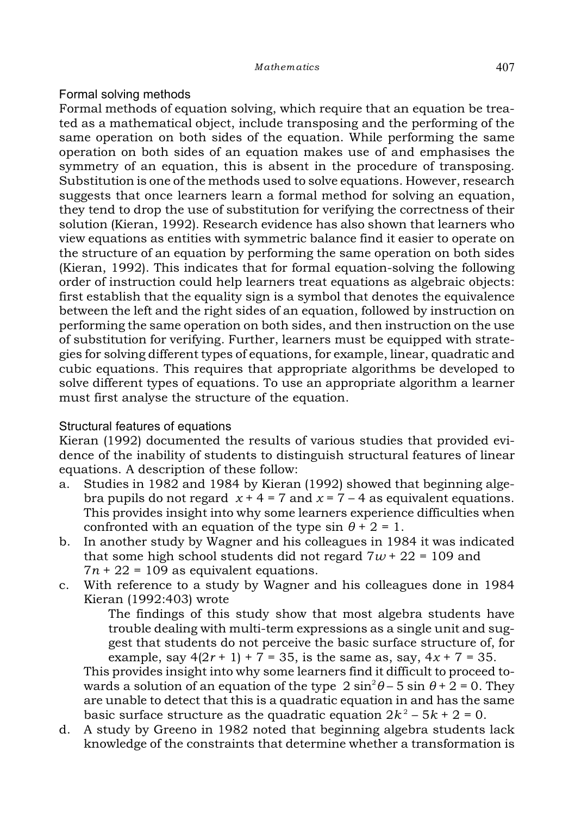# Formal solving methods

Formal methods of equation solving, which require that an equation be treated as a mathematical object, include transposing and the performing of the same operation on both sides of the equation. While performing the same operation on both sides of an equation makes use of and emphasises the symmetry of an equation, this is absent in the procedure of transposing. Substitution is one of the methods used to solve equations. However, research suggests that once learners learn a formal method for solving an equation, they tend to drop the use of substitution for verifying the correctness of their solution (Kieran, 1992). Research evidence has also shown that learners who view equations as entities with symmetric balance find it easier to operate on the structure of an equation by performing the same operation on both sides (Kieran, 1992). This indicates that for formal equation-solving the following order of instruction could help learners treat equations as algebraic objects: first establish that the equality sign is a symbol that denotes the equivalence between the left and the right sides of an equation, followed by instruction on performing the same operation on both sides, and then instruction on the use of substitution for verifying. Further, learners must be equipped with strategies for solving different types of equations, for example, linear, quadratic and cubic equations. This requires that appropriate algorithms be developed to solve different types of equations. To use an appropriate algorithm a learner must first analyse the structure of the equation.

# Structural features of equations

Kieran (1992) documented the results of various studies that provided evidence of the inability of students to distinguish structural features of linear equations. A description of these follow:

- a. Studies in 1982 and 1984 by Kieran (1992) showed that beginning algebra pupils do not regard  $x + 4 = 7$  and  $x = 7 - 4$  as equivalent equations. This provides insight into why some learners experience difficulties when confronted with an equation of the type  $\sin \theta + 2 = 1$ .
- b. In another study by Wagner and his colleagues in 1984 it was indicated that some high school students did not regard  $7w + 22 = 109$  and  $7n + 22 = 109$  as equivalent equations.
- c. With reference to a study by Wagner and his colleagues done in 1984 Kieran (1992:403) wrote

The findings of this study show that most algebra students have trouble dealing with multi-term expressions as a single unit and suggest that students do not perceive the basic surface structure of, for example, say  $4(2r + 1) + 7 = 35$ , is the same as, say,  $4x + 7 = 35$ .

This provides insight into why some learners find it difficult to proceed towards a solution of an equation of the type  $2 \sin^2 \theta - 5 \sin \theta + 2 = 0$ . They are unable to detect that this is a quadratic equation in and has the same basic surface structure as the quadratic equation  $2k^2 - 5k + 2 = 0$ .

d. A study by Greeno in 1982 noted that beginning algebra students lack knowledge of the constraints that determine whether a transformation is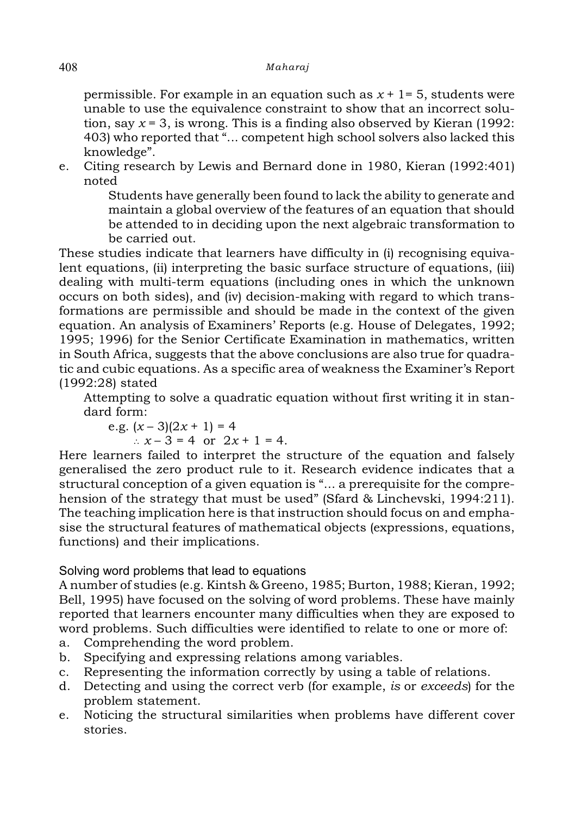permissible. For example in an equation such as  $x + 1 = 5$ , students were unable to use the equivalence constraint to show that an incorrect solution, say  $x = 3$ , is wrong. This is a finding also observed by Kieran (1992: 403) who reported that "... competent high school solvers also lacked this knowledge".

e. Citing research by Lewis and Bernard done in 1980, Kieran (1992:401) noted

> Students have generally been found to lack the ability to generate and maintain a global overview of the features of an equation that should be attended to in deciding upon the next algebraic transformation to be carried out.

These studies indicate that learners have difficulty in (i) recognising equivalent equations, (ii) interpreting the basic surface structure of equations, (iii) dealing with multi-term equations (including ones in which the unknown occurs on both sides), and (iv) decision-making with regard to which transformations are permissible and should be made in the context of the given equation. An analysis of Examiners' Reports (e.g. House of Delegates, 1992; 1995; 1996) for the Senior Certificate Examination in mathematics, written in South Africa, suggests that the above conclusions are also true for quadratic and cubic equations. As a specific area of weakness the Examiner's Report (1992:28) stated

Attempting to solve a quadratic equation without first writing it in standard form:

e.g. 
$$
(x-3)(2x + 1) = 4
$$
  
\n $\therefore x-3 = 4$  or  $2x + 1 = 4$ .

Here learners failed to interpret the structure of the equation and falsely generalised the zero product rule to it. Research evidence indicates that a structural conception of a given equation is "... a prerequisite for the comprehension of the strategy that must be used" (Sfard & Linchevski, 1994:211). The teaching implication here is that instruction should focus on and emphasise the structural features of mathematical objects (expressions, equations, functions) and their implications.

# Solving word problems that lead to equations

A number of studies (e.g. Kintsh & Greeno, 1985; Burton, 1988; Kieran, 1992; Bell, 1995) have focused on the solving of word problems. These have mainly reported that learners encounter many difficulties when they are exposed to word problems. Such difficulties were identified to relate to one or more of:

- a. Comprehending the word problem.
- b. Specifying and expressing relations among variables.
- c. Representing the information correctly by using a table of relations.
- d. Detecting and using the correct verb (for example, *is* or *exceeds*) for the problem statement.
- e. Noticing the structural similarities when problems have different cover stories.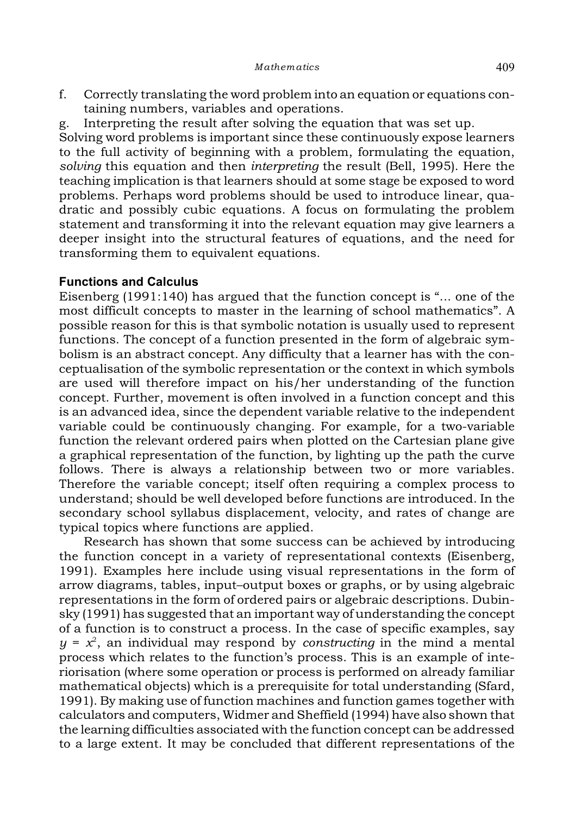- f. Correctly translating the word problem into an equation or equations containing numbers, variables and operations.
- g. Interpreting the result after solving the equation that was set up.

Solving word problems is important since these continuously expose learners to the full activity of beginning with a problem, formulating the equation, *solving* this equation and then *interpreting* the result (Bell, 1995). Here the teaching implication is that learners should at some stage be exposed to word problems. Perhaps word problems should be used to introduce linear, quadratic and possibly cubic equations. A focus on formulating the problem statement and transforming it into the relevant equation may give learners a deeper insight into the structural features of equations, and the need for transforming them to equivalent equations.

#### **Functions and Calculus**

Eisenberg (1991:140) has argued that the function concept is "... one of the most difficult concepts to master in the learning of school mathematics". A possible reason for this is that symbolic notation is usually used to represent functions. The concept of a function presented in the form of algebraic symbolism is an abstract concept. Any difficulty that a learner has with the conceptualisation of the symbolic representation or the context in which symbols are used will therefore impact on his/her understanding of the function concept. Further, movement is often involved in a function concept and this is an advanced idea, since the dependent variable relative to the independent variable could be continuously changing. For example, for a two-variable function the relevant ordered pairs when plotted on the Cartesian plane give a graphical representation of the function, by lighting up the path the curve follows. There is always a relationship between two or more variables. Therefore the variable concept; itself often requiring a complex process to understand; should be well developed before functions are introduced. In the secondary school syllabus displacement, velocity, and rates of change are typical topics where functions are applied.

Research has shown that some success can be achieved by introducing the function concept in a variety of representational contexts (Eisenberg, 1991). Examples here include using visual representations in the form of arrow diagrams, tables, input–output boxes or graphs, or by using algebraic representations in the form of ordered pairs or algebraic descriptions. Dubinsky (1991) has suggested that an important way of understanding the concept of a function is to construct a process. In the case of specific examples, say  $y = x^2$ , an individual may respond by *constructing* in the mind a mental process which relates to the function's process. This is an example of interiorisation (where some operation or process is performed on already familiar mathematical objects) which is a prerequisite for total understanding (Sfard, 1991). By making use of function machines and function games together with calculators and computers, Widmer and Sheffield (1994) have also shown that the learning difficulties associated with the function concept can be addressed to a large extent. It may be concluded that different representations of the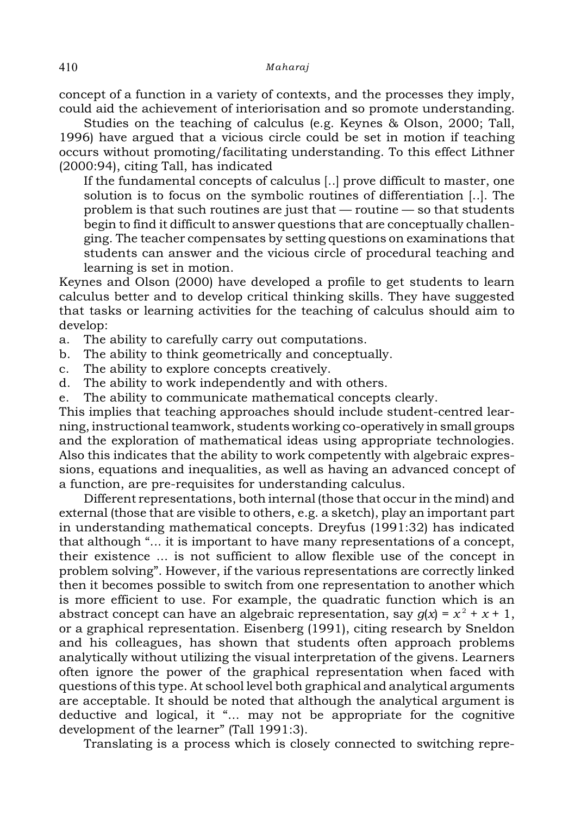concept of a function in a variety of contexts, and the processes they imply, could aid the achievement of interiorisation and so promote understanding.

Studies on the teaching of calculus (e.g. Keynes & Olson, 2000; Tall, 1996) have argued that a vicious circle could be set in motion if teaching occurs without promoting/facilitating understanding. To this effect Lithner (2000:94), citing Tall, has indicated

If the fundamental concepts of calculus [..] prove difficult to master, one solution is to focus on the symbolic routines of differentiation [..]. The problem is that such routines are just that — routine — so that students begin to find it difficult to answer questions that are conceptually challenging. The teacher compensates by setting questions on examinations that students can answer and the vicious circle of procedural teaching and learning is set in motion.

Keynes and Olson (2000) have developed a profile to get students to learn calculus better and to develop critical thinking skills. They have suggested that tasks or learning activities for the teaching of calculus should aim to develop:

a. The ability to carefully carry out computations.

- b. The ability to think geometrically and conceptually.
- c. The ability to explore concepts creatively.
- d. The ability to work independently and with others.
- e. The ability to communicate mathematical concepts clearly.

This implies that teaching approaches should include student-centred learning, instructional teamwork, students working co-operatively in small groups and the exploration of mathematical ideas using appropriate technologies. Also this indicates that the ability to work competently with algebraic expressions, equations and inequalities, as well as having an advanced concept of a function, are pre-requisites for understanding calculus.

Different representations, both internal (those that occur in the mind) and external (those that are visible to others, e.g. a sketch), play an important part in understanding mathematical concepts. Dreyfus (1991:32) has indicated that although "... it is important to have many representations of a concept, their existence ... is not sufficient to allow flexible use of the concept in problem solving". However, if the various representations are correctly linked then it becomes possible to switch from one representation to another which is more efficient to use. For example, the quadratic function which is an abstract concept can have an algebraic representation, say  $q(x) = x^2 + x + 1$ , or a graphical representation. Eisenberg (1991), citing research by Sneldon and his colleagues, has shown that students often approach problems analytically without utilizing the visual interpretation of the givens. Learners often ignore the power of the graphical representation when faced with questions of this type. At school level both graphical and analytical arguments are acceptable. It should be noted that although the analytical argument is deductive and logical, it "... may not be appropriate for the cognitive development of the learner" (Tall 1991:3).

Translating is a process which is closely connected to switching repre-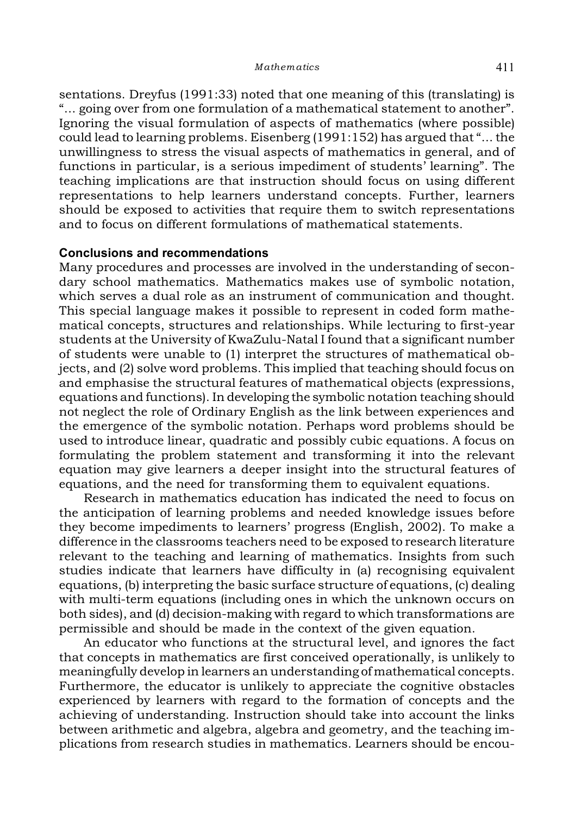sentations. Dreyfus (1991:33) noted that one meaning of this (translating) is "... going over from one formulation of a mathematical statement to another". Ignoring the visual formulation of aspects of mathematics (where possible) could lead to learning problems. Eisenberg (1991:152) has argued that "... the unwillingness to stress the visual aspects of mathematics in general, and of functions in particular, is a serious impediment of students' learning". The teaching implications are that instruction should focus on using different representations to help learners understand concepts. Further, learners should be exposed to activities that require them to switch representations and to focus on different formulations of mathematical statements.

#### **Conclusions and recommendations**

Many procedures and processes are involved in the understanding of secondary school mathematics. Mathematics makes use of symbolic notation, which serves a dual role as an instrument of communication and thought. This special language makes it possible to represent in coded form mathematical concepts, structures and relationships. While lecturing to first-year students at the University of KwaZulu-Natal I found that a significant number of students were unable to (1) interpret the structures of mathematical objects, and (2) solve word problems. This implied that teaching should focus on and emphasise the structural features of mathematical objects (expressions, equations and functions). In developing the symbolic notation teaching should not neglect the role of Ordinary English as the link between experiences and the emergence of the symbolic notation. Perhaps word problems should be used to introduce linear, quadratic and possibly cubic equations. A focus on formulating the problem statement and transforming it into the relevant equation may give learners a deeper insight into the structural features of equations, and the need for transforming them to equivalent equations.

Research in mathematics education has indicated the need to focus on the anticipation of learning problems and needed knowledge issues before they become impediments to learners' progress (English, 2002). To make a difference in the classrooms teachers need to be exposed to research literature relevant to the teaching and learning of mathematics. Insights from such studies indicate that learners have difficulty in (a) recognising equivalent equations, (b) interpreting the basic surface structure of equations, (c) dealing with multi-term equations (including ones in which the unknown occurs on both sides), and (d) decision-making with regard to which transformations are permissible and should be made in the context of the given equation.

An educator who functions at the structural level, and ignores the fact that concepts in mathematics are first conceived operationally, is unlikely to meaningfully develop in learners an understanding of mathematical concepts. Furthermore, the educator is unlikely to appreciate the cognitive obstacles experienced by learners with regard to the formation of concepts and the achieving of understanding. Instruction should take into account the links between arithmetic and algebra, algebra and geometry, and the teaching implications from research studies in mathematics. Learners should be encou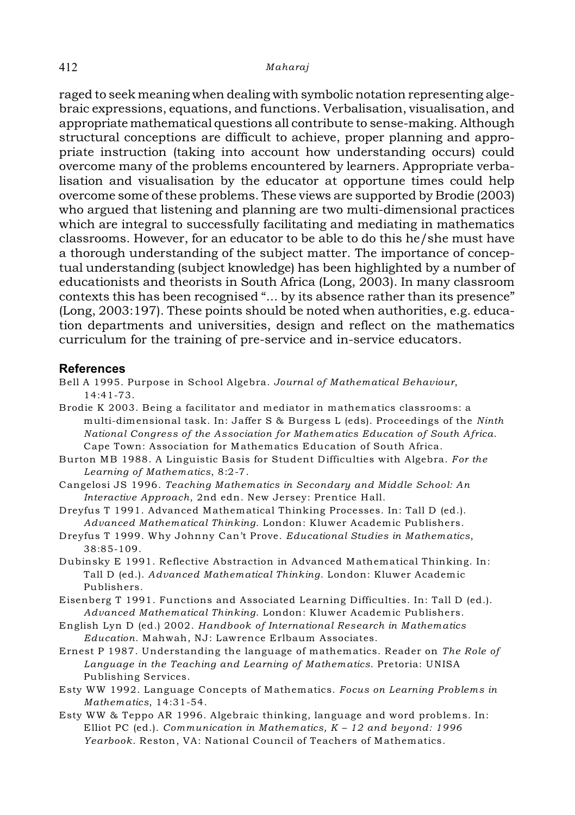raged to seek meaning when dealing with symbolic notation representing algebraic expressions, equations, and functions. Verbalisation, visualisation, and appropriate mathematical questions all contribute to sense-making. Although structural conceptions are difficult to achieve, proper planning and appropriate instruction (taking into account how understanding occurs) could overcome many of the problems encountered by learners. Appropriate verbalisation and visualisation by the educator at opportune times could help overcome some of these problems. These views are supported by Brodie (2003) who argued that listening and planning are two multi-dimensional practices which are integral to successfully facilitating and mediating in mathematics classrooms. However, for an educator to be able to do this he/she must have a thorough understanding of the subject matter. The importance of conceptual understanding (subject knowledge) has been highlighted by a number of educationists and theorists in South Africa (Long, 2003). In many classroom contexts this has been recognised "... by its absence rather than its presence" (Long, 2003:197). These points should be noted when authorities, e.g. education departments and universities, design and reflect on the mathematics curriculum for the training of pre-service and in-service educators.

#### **References**

- Bell A 1995. Purpose in School Algebra. *Journal of Mathematical Behaviour*, 14:41-73.
- Brodie K 2003. Being a facilitator and mediator in mathematics classrooms: a multi-dimensional task. In: Jaffer S & Burgess L (eds). Proceedings of the *Ninth National Congress of the Association for Mathematics Education of South Africa*. Cape Town: Association for Mathematics Education of South Africa.
- Burton MB 1988. A Linguistic Basis for Student Difficulties with Algebra. *For the Learning of Mathematics*, 8:2-7.
- Cangelosi JS 1996. *Teaching Mathematics in Secondary and Middle School: An Interactive Approach*, 2nd edn. New Jersey: Prentice Hall.
- Dreyfus T 1991. Advanced Mathematical Thinking Processes. In: Tall D (ed.). *Advanced Mathematical Thinking*. London: Kluwer Academic Publishers.
- Dreyfus T 1999. Why Johnny Can't Prove. *Educational Studies in Mathematics*, 38:85-109.
- Dubinsky E 1991. Reflective Abstraction in Advanced Mathematical Thinking. In: Tall D (ed.). *Advanced Mathematical Thinking*. London: Kluwer Academic Publishers.
- Eisenberg T 1991. Functions and Associated Learning Difficulties. In: Tall D (ed.). *Advanced Mathematical Thinking*. London: Kluwer Academic Publishers.
- English Lyn D (ed.) 2002. *Handbook of International Research in Mathematics Education*. Mahwah, NJ: Lawrence Erlbaum Associates.
- Ernest P 1987. Understanding the language of mathematics. Reader on *The Role of Language in the Teaching and Learning of Mathematics*. Pretoria: UNISA Publishing Services.
- Esty WW 1992. Language Concepts of Mathematics. *Focus on Learning Problems in Mathematics*, 14:31-54.
- Esty WW & Teppo AR 1996. Algebraic thinking, language and word problems. In: Elliot PC (ed.). *Communication in Mathematics, K – 12 and beyond: 1996 Yearbook*. Reston, VA: National Council of Teachers of Mathematics.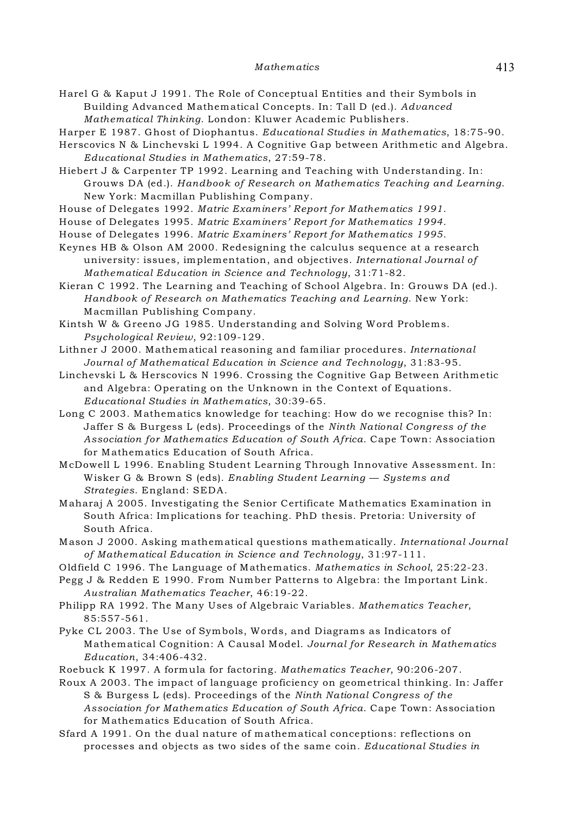Harel G & Kaput J 1991. The Role of Conceptual Entities and their Symbols in Building Advanced Mathematical Concepts. In: Tall D (ed.). *Advanced Mathematical Thinking*. London: Kluwer Academic Publishers.

Harper E 1987. Ghost of Diophantus. *Educational Studies in Mathematics*, 18:75-90.

Herscovics N & Linchevski L 1994. A Cognitive Gap between Arithmetic and Algebra. *Educational Studies in Mathematics*, 27:59-78.

Hiebert J & Carpenter TP 1992. Learning and Teaching with Understanding. In: Grouws DA (ed.). *Handbook of Research on Mathematics Teaching and Learning*. New York: Macmillan Publishing Company.

House of Delegates 1992. *Matric Examiners' Report for Mathematics 1991*.

House of Delegates 1995. *Matric Examiners' Report for Mathematics 1994*.

House of Delegates 1996. *Matric Examiners' Report for Mathematics 1995*.

Keynes HB & Olson AM 2000. Redesigning the calculus sequence at a research university: issues, implementation, and objectives. *International Journal of Mathematical Education in Science and Technology*, 31:71-82.

Kieran C 1992. The Learning and Teaching of School Algebra. In: Grouws DA (ed.). *Handbook of Research on Mathematics Teaching and Learning*. New York: Macmillan Publishing Company.

Kintsh W & Greeno JG 1985. Understanding and Solving Word Problems. *Psychological Review*, 92:109-129.

Lithner J 2000. Mathematical reasoning and familiar procedures. *International Journal of Mathematical Education in Science and Technology*, 31:83-95.

Linchevski L & Herscovics N 1996. Crossing the Cognitive Gap Between Arithmetic and Algebra: Operating on the Unknown in the Context of Equations. *Educational Studies in Mathematics*, 30:39-65.

Long C 2003. Mathematics knowledge for teaching: How do we recognise this? In: Jaffer S & Burgess L (eds). Proceedings of the *Ninth National Congress of the Association for Mathematics Education of South Africa*. Cape Town: Association for Mathematics Education of South Africa.

McDowell L 1996. Enabling Student Learning Through Innovative Assessment. In: Wisker G & Brown S (eds). *Enabling Student Learning — Systems and Strategies*. England: SEDA.

Maharaj A 2005. Investigating the Senior Certificate Mathematics Examination in South Africa: Implications for teaching. PhD thesis. Pretoria: University of South Africa.

Mason J 2000. Asking mathematical questions mathematically. *International Journal of Mathematical Education in Science and Technology*, 31:97-111.

Oldfield C 1996. The Language of Mathematics. *Mathematics in School*, 25:22-23.

Pegg J & Redden E 1990. From Number Patterns to Algebra: the Important Link. *Australian Mathematics Teacher*, 46:19-22.

Philipp RA 1992. The Many Uses of Algebraic Variables. *Mathematics Teacher*, 85:557-561.

Pyke CL 2003. The Use of Symbols, Words, and Diagrams as Indicators of Mathematical Cognition: A Causal Model. *Journal for Research in Mathematics Education*, 34:406-432.

Roebuck K 1997. A formula for factoring. *Mathematics Teacher*, 90:206-207.

Roux A 2003. The impact of language proficiency on geometrical thinking. In: Jaffer S & Burgess L (eds). Proceedings of the *Ninth National Congress of the Association for Mathematics Education of South Africa*. Cape Town: Association for Mathematics Education of South Africa.

Sfard A 1991. On the dual nature of mathematical conceptions: reflections on processes and objects as two sides of the same coin. *Educational Studies in*